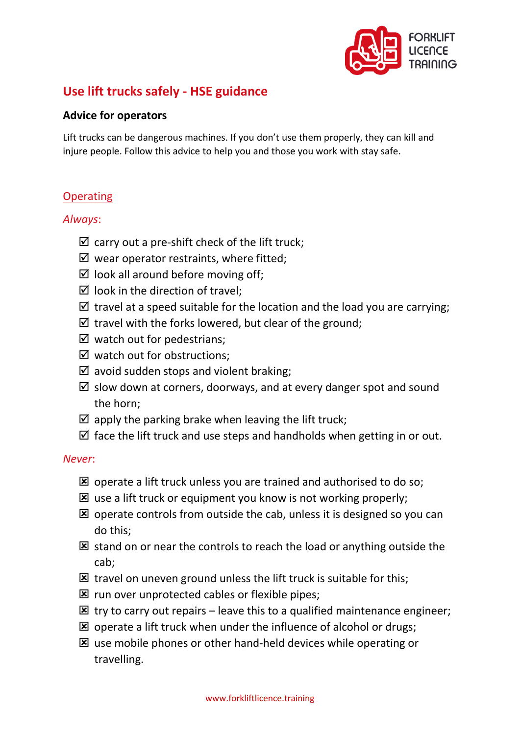

# **Use lift trucks safely - HSE guidance**

#### **Advice for operators**

Lift trucks can be dangerous machines. If you don't use them properly, they can kill and injure people. Follow this advice to help you and those you work with stay safe.

#### **Operating**

#### *Always*:

- $\boxtimes$  carry out a pre-shift check of the lift truck;
- $\boxtimes$  wear operator restraints, where fitted;
- $\boxtimes$  look all around before moving off;
- $\boxtimes$  look in the direction of travel:
- $\boxtimes$  travel at a speed suitable for the location and the load you are carrying;
- $\boxtimes$  travel with the forks lowered, but clear of the ground;
- $\boxtimes$  watch out for pedestrians;
- $\boxtimes$  watch out for obstructions;
- $\boxtimes$  avoid sudden stops and violent braking;
- $\boxtimes$  slow down at corners, doorways, and at every danger spot and sound the horn;
- $\boxtimes$  apply the parking brake when leaving the lift truck;
- $\boxtimes$  face the lift truck and use steps and handholds when getting in or out.

#### *Never*:

- $\boxtimes$  operate a lift truck unless you are trained and authorised to do so:
- $\boxtimes$  use a lift truck or equipment you know is not working properly;
- $\boxtimes$  operate controls from outside the cab, unless it is designed so you can do this;
- $\boxtimes$  stand on or near the controls to reach the load or anything outside the cab;
- $\boxtimes$  travel on uneven ground unless the lift truck is suitable for this;
- $\boxtimes$  run over unprotected cables or flexible pipes;
- $\boxtimes$  try to carry out repairs leave this to a qualified maintenance engineer;
- $\boxtimes$  operate a lift truck when under the influence of alcohol or drugs;
- $\boxtimes$  use mobile phones or other hand-held devices while operating or travelling.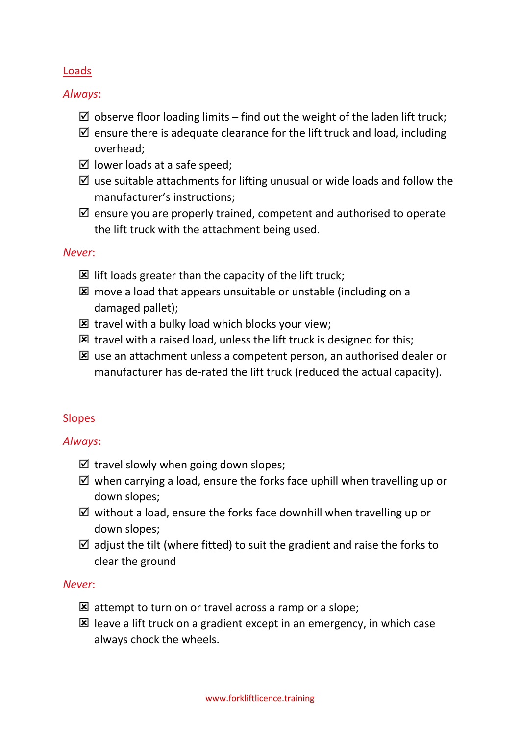### Loads

*Always*:

- $\boxtimes$  observe floor loading limits find out the weight of the laden lift truck;
- $\boxtimes$  ensure there is adequate clearance for the lift truck and load, including overhead;
- $\boxtimes$  lower loads at a safe speed;
- $\boxtimes$  use suitable attachments for lifting unusual or wide loads and follow the manufacturer's instructions;
- $\boxtimes$  ensure you are properly trained, competent and authorised to operate the lift truck with the attachment being used.

# *Never*:

- $\boxtimes$  lift loads greater than the capacity of the lift truck;
- $\boxtimes$  move a load that appears unsuitable or unstable (including on a damaged pallet);
- $\boxtimes$  travel with a bulky load which blocks your view;
- $\boxtimes$  travel with a raised load, unless the lift truck is designed for this;
- **E** use an attachment unless a competent person, an authorised dealer or manufacturer has de-rated the lift truck (reduced the actual capacity).

# Slopes

# *Always*:

- $\boxtimes$  travel slowly when going down slopes;
- $\boxtimes$  when carrying a load, ensure the forks face uphill when travelling up or down slopes;
- $\boxtimes$  without a load, ensure the forks face downhill when travelling up or down slopes;
- $\boxtimes$  adjust the tilt (where fitted) to suit the gradient and raise the forks to clear the ground

### *Never*:

- $\boxtimes$  attempt to turn on or travel across a ramp or a slope;
- $\boxtimes$  leave a lift truck on a gradient except in an emergency, in which case always chock the wheels.